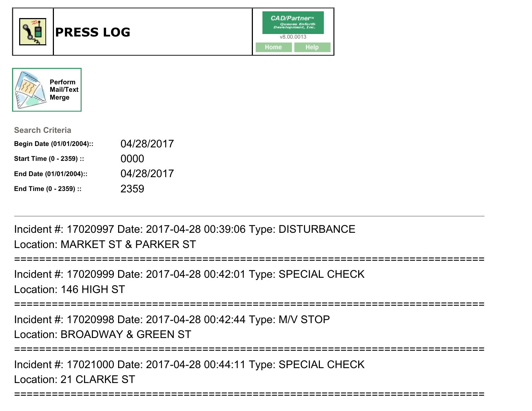



| <b>Search Criteria</b>    |            |
|---------------------------|------------|
| Begin Date (01/01/2004):: | 04/28/2017 |
| Start Time (0 - 2359) ::  | 0000       |
| End Date (01/01/2004)::   | 04/28/2017 |
| End Time (0 - 2359) ::    | 2359       |

Incident #: 17020997 Date: 2017-04-28 00:39:06 Type: DISTURBANCELocation: MARKET ST & PARKER ST

===========================================================================Incident #: 17020999 Date: 2017-04-28 00:42:01 Type: SPECIAL CHECKLocation: 146 HIGH ST===========================================================================Incident #: 17020998 Date: 2017-04-28 00:42:44 Type: M/V STOPLocation: BROADWAY & GREEN ST

===========================================================================

===========================================================================

Incident #: 17021000 Date: 2017-04-28 00:44:11 Type: SPECIAL CHECKLocation: 21 CLARKE ST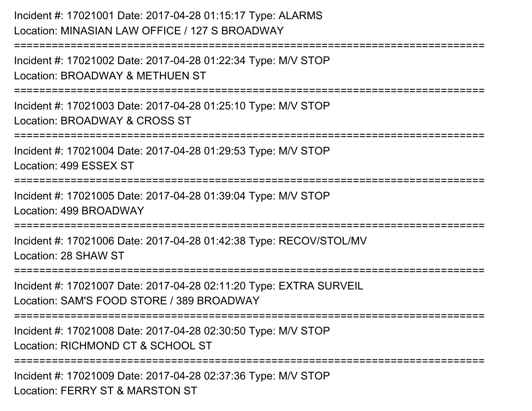Incident #: 17021001 Date: 2017-04-28 01:15:17 Type: ALARMSLocation: MINASIAN LAW OFFICE / 127 S BROADWAY===========================================================================Incident #: 17021002 Date: 2017-04-28 01:22:34 Type: M/V STOPLocation: BROADWAY & METHUEN ST===========================================================================Incident #: 17021003 Date: 2017-04-28 01:25:10 Type: M/V STOPLocation: BROADWAY & CROSS ST===========================================================================Incident #: 17021004 Date: 2017-04-28 01:29:53 Type: M/V STOPLocation: 499 ESSEX ST======================== Incident #: 17021005 Date: 2017-04-28 01:39:04 Type: M/V STOPLocation: 499 BROADWAY===========================================================================Incident #: 17021006 Date: 2017-04-28 01:42:38 Type: RECOV/STOL/MVLocation: 28 SHAW ST===========================================================================Incident #: 17021007 Date: 2017-04-28 02:11:20 Type: EXTRA SURVEILLocation: SAM'S FOOD STORE / 389 BROADWAY===========================================================================Incident #: 17021008 Date: 2017-04-28 02:30:50 Type: M/V STOPLocation: RICHMOND CT & SCHOOL ST**=============** 

Incident #: 17021009 Date: 2017-04-28 02:37:36 Type: M/V STOPLocation: FERRY ST & MARSTON ST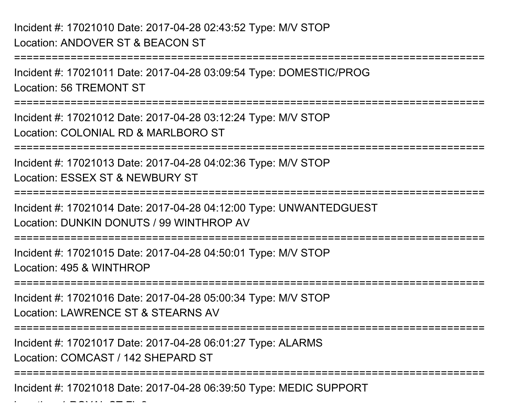===========================================================================Incident #: 17021011 Date: 2017-04-28 03:09:54 Type: DOMESTIC/PROGLocation: 56 TREMONT ST===========================================================================Incident #: 17021012 Date: 2017-04-28 03:12:24 Type: M/V STOPLocation: COLONIAL RD & MARI BORO ST ===========================================================================Incident #: 17021013 Date: 2017-04-28 04:02:36 Type: M/V STOPLocation: ESSEX ST & NEWBURY ST===========================================================================Incident #: 17021014 Date: 2017-04-28 04:12:00 Type: UNWANTEDGUESTLocation: DUNKIN DONUTS / 99 WINTHROP AV===========================================================================Incident #: 17021015 Date: 2017-04-28 04:50:01 Type: M/V STOPLocation: 495 & WINTHROP===========================================================================Incident #: 17021016 Date: 2017-04-28 05:00:34 Type: M/V STOPLocation: LAWRENCE ST & STEARNS AV===========================================================================Incident #: 17021017 Date: 2017-04-28 06:01:27 Type: ALARMSLocation: COMCAST / 142 SHEPARD ST===========================================================================

Incident #: 17021018 Date: 2017-04-28 06:39:50 Type: MEDIC SUPPORT

 $\mathcal{L}$  and  $\mathcal{L}$  respectively. The state  $\mathcal{L}$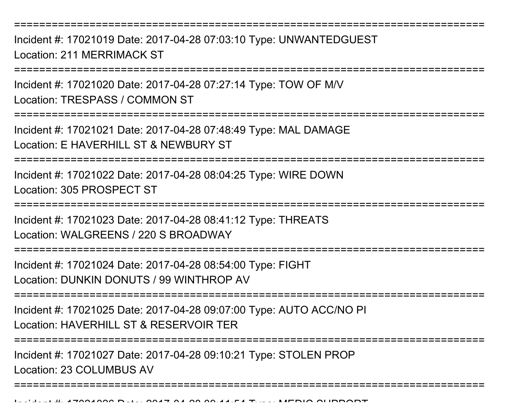===========================================================================

Incident #: 17021019 Date: 2017-04-28 07:03:10 Type: UNWANTEDGUESTLocation: 211 MERRIMACK ST

===========================================================================

Incident #: 17021020 Date: 2017-04-28 07:27:14 Type: TOW OF M/VLocation: TRESPASS / COMMON ST

===========================================================================

Incident #: 17021021 Date: 2017-04-28 07:48:49 Type: MAL DAMAGELocation: E HAVERHILL ST & NEWBURY ST

===========================================================================

Incident #: 17021022 Date: 2017-04-28 08:04:25 Type: WIRE DOWNLocation: 305 PROSPECT ST

===========================================================================

Incident #: 17021023 Date: 2017-04-28 08:41:12 Type: THREATSLocation: WALGREENS / 220 S BROADWAY

===========================================================================

Incident #: 17021024 Date: 2017-04-28 08:54:00 Type: FIGHTLocation: DUNKIN DONUTS / 99 WINTHROP AV

===========================================================================

Incident #: 17021025 Date: 2017-04-28 09:07:00 Type: AUTO ACC/NO PILocation: HAVERHILL ST & RESERVOIR TER

===========================================================================

===========================================================================

Incident #: 17021027 Date: 2017-04-28 09:10:21 Type: STOLEN PROPLocation: 23 COLUMBUS AV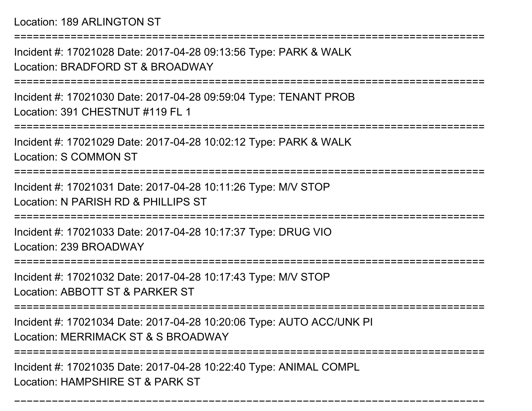Location: 189 ARLINGTON ST

===========================================================================Incident #: 17021028 Date: 2017-04-28 09:13:56 Type: PARK & WALKLocation: BRADFORD ST & BROADWAY===========================================================================Incident #: 17021030 Date: 2017-04-28 09:59:04 Type: TENANT PROBLocation: 391 CHESTNUT #119 FL 1 ===========================================================================Incident #: 17021029 Date: 2017-04-28 10:02:12 Type: PARK & WALKLocation: S COMMON ST===========================================================================Incident #: 17021031 Date: 2017-04-28 10:11:26 Type: M/V STOPLocation: N PARISH RD & PHILLIPS ST ===========================================================================Incident #: 17021033 Date: 2017-04-28 10:17:37 Type: DRUG VIOLocation: 239 BROADWAY=========================== Incident #: 17021032 Date: 2017-04-28 10:17:43 Type: M/V STOPLocation: ABBOTT ST & PARKER ST===========================================================================Incident #: 17021034 Date: 2017-04-28 10:20:06 Type: AUTO ACC/UNK PILocation: MERRIMACK ST & S BROADWAY====================

===========================================================================

Incident #: 17021035 Date: 2017-04-28 10:22:40 Type: ANIMAL COMPLLocation: HAMPSHIRE ST & PARK ST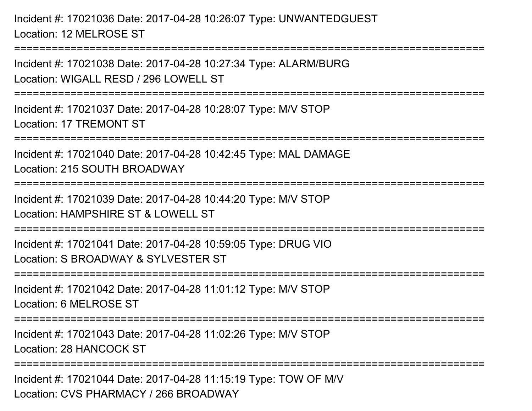Incident #: 17021036 Date: 2017-04-28 10:26:07 Type: UNWANTEDGUESTLocation: 12 MELROSE ST

================

Incident #: 17021038 Date: 2017-04-28 10:27:34 Type: ALARM/BURGLocation: WIGALL RESD / 296 LOWELL ST ===========================================================================Incident #: 17021037 Date: 2017-04-28 10:28:07 Type: M/V STOPLocation: 17 TREMONT ST===========================================================================Incident #: 17021040 Date: 2017-04-28 10:42:45 Type: MAL DAMAGELocation: 215 SOUTH BROADWAY===========================================================================Incident #: 17021039 Date: 2017-04-28 10:44:20 Type: M/V STOPLocation: HAMPSHIRE ST & LOWELL ST===========================================================================Incident #: 17021041 Date: 2017-04-28 10:59:05 Type: DRUG VIOLocation: S BROADWAY & SYLVESTER ST===========================================================================Incident #: 17021042 Date: 2017-04-28 11:01:12 Type: M/V STOPLocation: 6 MELROSE ST===========================================================================Incident #: 17021043 Date: 2017-04-28 11:02:26 Type: M/V STOPLocation: 28 HANCOCK ST==================== Incident #: 17021044 Date: 2017-04-28 11:15:19 Type: TOW OF M/VLocation: CVS PHARMACY / 266 BROADWAY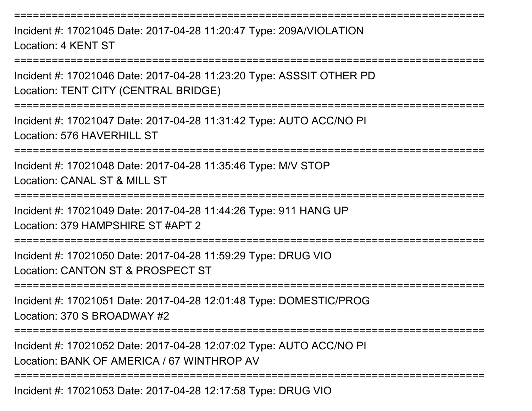Incident #: 17021045 Date: 2017-04-28 11:20:47 Type: 209A/VIOLATIONLocation: 4 KENT ST

===========================================================================

===========================================================================

Incident #: 17021046 Date: 2017-04-28 11:23:20 Type: ASSSIT OTHER PDLocation: TENT CITY (CENTRAL BRIDGE)

===========================================================================

Incident #: 17021047 Date: 2017-04-28 11:31:42 Type: AUTO ACC/NO PILocation: 576 HAVERHILL ST

===========================================================================

Incident #: 17021048 Date: 2017-04-28 11:35:46 Type: M/V STOPLocation: CANAL ST & MILL ST

===========================================================================

Incident #: 17021049 Date: 2017-04-28 11:44:26 Type: 911 HANG UP

Location: 379 HAMPSHIRE ST #APT 2

===========================================================================

Incident #: 17021050 Date: 2017-04-28 11:59:29 Type: DRUG VIOLocation: CANTON ST & PROSPECT ST

===========================================================================

Incident #: 17021051 Date: 2017-04-28 12:01:48 Type: DOMESTIC/PROGLocation: 370 S BROADWAY #2

===========================================================================

Incident #: 17021052 Date: 2017-04-28 12:07:02 Type: AUTO ACC/NO PILocation: BANK OF AMERICA / 67 WINTHROP AV

===========================================================================

Incident #: 17021053 Date: 2017-04-28 12:17:58 Type: DRUG VIO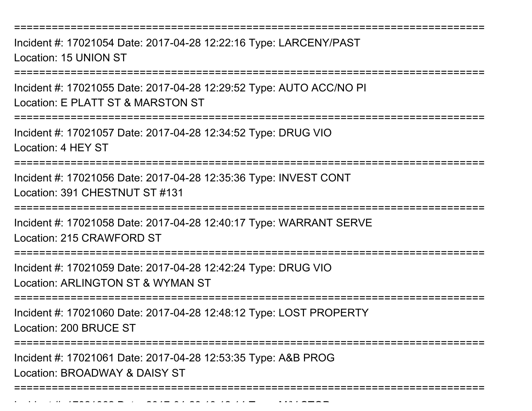===========================================================================

Incident #: 17021054 Date: 2017-04-28 12:22:16 Type: LARCENY/PASTLocation: 15 UNION ST

===========================================================================

Incident #: 17021055 Date: 2017-04-28 12:29:52 Type: AUTO ACC/NO PILocation: E PLATT ST & MARSTON ST

===========================================================================

Incident #: 17021057 Date: 2017-04-28 12:34:52 Type: DRUG VIO

Location: 4 HEY ST

===========================================================================

Incident #: 17021056 Date: 2017-04-28 12:35:36 Type: INVEST CONTLocation: 391 CHESTNUT ST #131

===========================================================================

Incident #: 17021058 Date: 2017-04-28 12:40:17 Type: WARRANT SERVELocation: 215 CRAWFORD ST

===========================================================================

Incident #: 17021059 Date: 2017-04-28 12:42:24 Type: DRUG VIO

Location: ARLINGTON ST & WYMAN ST

Incident #: 17021062 Date: 2017

===========================================================================

Incident #: 17021060 Date: 2017-04-28 12:48:12 Type: LOST PROPERTYLocation: 200 BRUCE ST

=========================

Incident #: 17021061 Date: 2017-04-28 12:53:35 Type: A&B PROGLocation: BROADWAY & DAISY ST

===========================================================================

<sup>04</sup> 28 13:12:14 Type: M/V STOP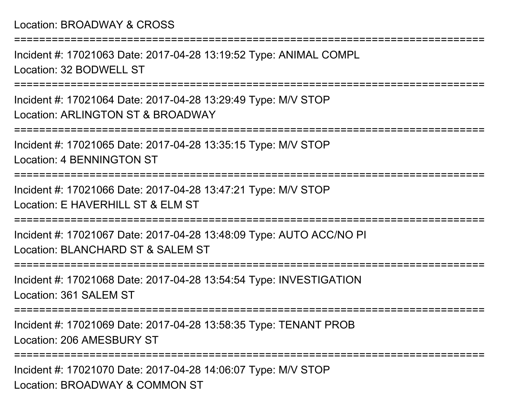#### Location: BROADWAY & CROSS

Incident #: 17021063 Date: 2017-04-28 13:19:52 Type: ANIMAL COMPLLocation: 32 BODWELL ST

===========================================================================

===========================================================================

Incident #: 17021064 Date: 2017-04-28 13:29:49 Type: M/V STOPLocation: ARLINGTON ST & BROADWAY

===========================================================================

Incident #: 17021065 Date: 2017-04-28 13:35:15 Type: M/V STOPLocation: 4 BENNINGTON ST

===========================================================================

Incident #: 17021066 Date: 2017-04-28 13:47:21 Type: M/V STOPLocation: E HAVERHILL ST & ELM ST

===========================================================================

Incident #: 17021067 Date: 2017-04-28 13:48:09 Type: AUTO ACC/NO PILocation: BLANCHARD ST & SALEM ST

===========================================================================

Incident #: 17021068 Date: 2017-04-28 13:54:54 Type: INVESTIGATIONLocation: 361 SALEM ST

===========================================================================

Incident #: 17021069 Date: 2017-04-28 13:58:35 Type: TENANT PROBLocation: 206 AMESBURY ST

===========================================================================

Incident #: 17021070 Date: 2017-04-28 14:06:07 Type: M/V STOPLocation: BROADWAY & COMMON ST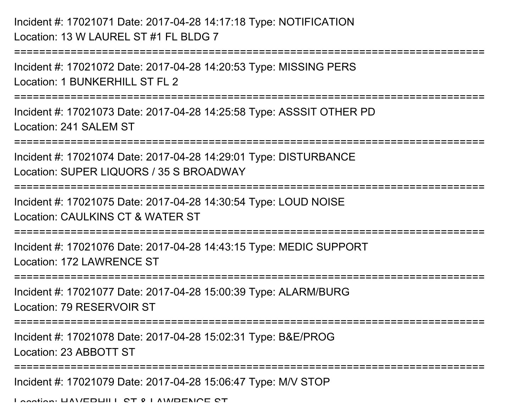## Incident #: 17021071 Date: 2017-04-28 14:17:18 Type: NOTIFICATIONLocation: 13 W LAUREL ST #1 FL BLDG 7

Incident #: 17021072 Date: 2017-04-28 14:20:53 Type: MISSING PERSLocation: 1 BUNKERHILL ST FL 2

===========================================================================

===========================================================================

Incident #: 17021073 Date: 2017-04-28 14:25:58 Type: ASSSIT OTHER PDLocation: 241 SALEM ST

===========================================================================

Incident #: 17021074 Date: 2017-04-28 14:29:01 Type: DISTURBANCELocation: SUPER LIQUORS / 35 S BROADWAY

===========================================================================

Incident #: 17021075 Date: 2017-04-28 14:30:54 Type: LOUD NOISE

Location: CAULKINS CT & WATER ST

===========================================================================

Incident #: 17021076 Date: 2017-04-28 14:43:15 Type: MEDIC SUPPORTLocation: 172 LAWRENCE ST

===========================================================================

Incident #: 17021077 Date: 2017-04-28 15:00:39 Type: ALARM/BURGLocation: 79 RESERVOIR ST

===========================================================================

Incident #: 17021078 Date: 2017-04-28 15:02:31 Type: B&E/PROG

Location: 23 ABBOTT ST

===========================================================================

Incident #: 17021079 Date: 2017-04-28 15:06:47 Type: M/V STOP

Location: HAVERHILL ST & LAWRENCE ST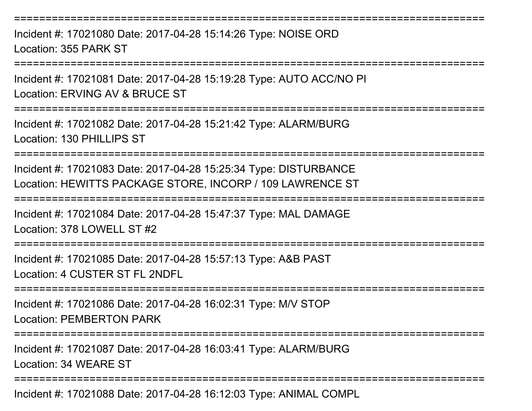===========================================================================Incident #: 17021080 Date: 2017-04-28 15:14:26 Type: NOISE ORDLocation: 355 PARK ST===========================================================================Incident #: 17021081 Date: 2017-04-28 15:19:28 Type: AUTO ACC/NO PILocation: ERVING AV & BRUCE ST===========================================================================Incident #: 17021082 Date: 2017-04-28 15:21:42 Type: ALARM/BURGLocation: 130 PHILLIPS ST===========================================================================Incident #: 17021083 Date: 2017-04-28 15:25:34 Type: DISTURBANCE Location: HEWITTS PACKAGE STORE, INCORP / 109 LAWRENCE ST===========================================================================Incident #: 17021084 Date: 2017-04-28 15:47:37 Type: MAL DAMAGELocation: 378 LOWELL ST #2===========================================================================Incident #: 17021085 Date: 2017-04-28 15:57:13 Type: A&B PASTLocation: 4 CUSTER ST FL 2NDFL===========================================================================Incident #: 17021086 Date: 2017-04-28 16:02:31 Type: M/V STOPLocation: PEMBERTON PARK===========================================================================Incident #: 17021087 Date: 2017-04-28 16:03:41 Type: ALARM/BURGLocation: 34 WEARE ST===========================================================================

Incident #: 17021088 Date: 2017-04-28 16:12:03 Type: ANIMAL COMPL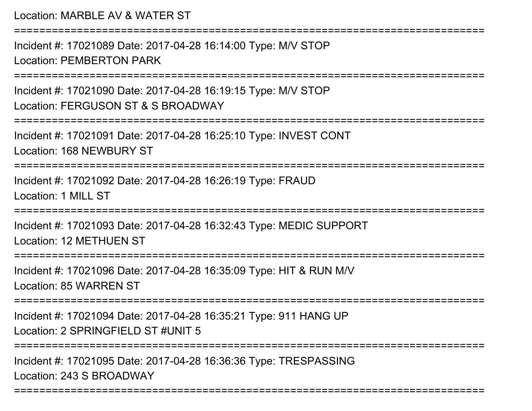Location: MARBLE AV & WATER ST===========================================================================Incident #: 17021089 Date: 2017-04-28 16:14:00 Type: M/V STOPLocation: PEMBERTON PARK===========================================================================Incident #: 17021090 Date: 2017-04-28 16:19:15 Type: M/V STOPLocation: FERGUSON ST & S BROADWAY ===========================================================================Incident #: 17021091 Date: 2017-04-28 16:25:10 Type: INVEST CONTLocation: 168 NEWBURY ST===========================================================================Incident #: 17021092 Date: 2017-04-28 16:26:19 Type: FRAUDLocation: 1 MILL ST===========================================================================Incident #: 17021093 Date: 2017-04-28 16:32:43 Type: MEDIC SUPPORTLocation: 12 METHUEN ST===========================================================================Incident #: 17021096 Date: 2017-04-28 16:35:09 Type: HIT & RUN M/VLocation: 85 WARREN ST===========================================================================Incident #: 17021094 Date: 2017-04-28 16:35:21 Type: 911 HANG UPLocation: 2 SPRINGFIFLD ST #UNIT 5 ===========================================================================Incident #: 17021095 Date: 2017-04-28 16:36:36 Type: TRESPASSINGLocation: 243 S BROADWAY

===========================================================================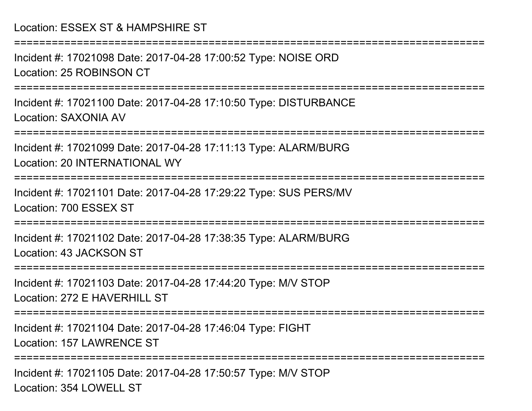Incident #: 17021098 Date: 2017-04-28 17:00:52 Type: NOISE ORDLocation: 25 ROBINSON CT

===========================================================================

===========================================================================

Incident #: 17021100 Date: 2017-04-28 17:10:50 Type: DISTURBANCELocation: SAXONIA AV

===========================================================================

Incident #: 17021099 Date: 2017-04-28 17:11:13 Type: ALARM/BURGLocation: 20 INTERNATIONAL WY

===========================================================================

Incident #: 17021101 Date: 2017-04-28 17:29:22 Type: SUS PERS/MVLocation: 700 ESSEX ST

=============

Incident #: 17021102 Date: 2017-04-28 17:38:35 Type: ALARM/BURGLocation: 43 JACKSON ST

===========================================================================

Incident #: 17021103 Date: 2017-04-28 17:44:20 Type: M/V STOPLocation: 272 F HAVERHILL ST

===========================================================================

Incident #: 17021104 Date: 2017-04-28 17:46:04 Type: FIGHTLocation: 157 LAWRENCE ST

===========================================================================

Incident #: 17021105 Date: 2017-04-28 17:50:57 Type: M/V STOPLocation: 354 LOWELL ST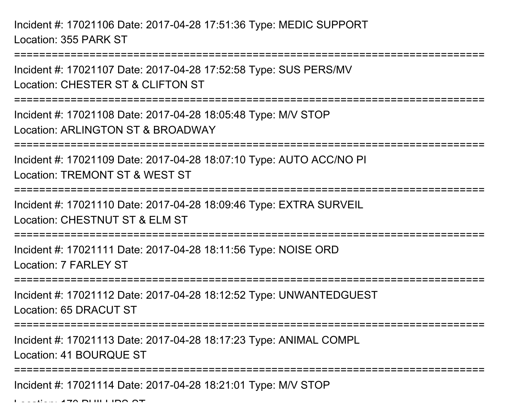Incident #: 17021106 Date: 2017-04-28 17:51:36 Type: MEDIC SUPPORTLocation: 355 PARK ST

Incident #: 17021107 Date: 2017-04-28 17:52:58 Type: SUS PERS/MVLocation: CHESTER ST & CLIFTON ST

===========================================================================

===========================================================================

Incident #: 17021108 Date: 2017-04-28 18:05:48 Type: M/V STOPLocation: ARLINGTON ST & BROADWAY

===========================================================================

Incident #: 17021109 Date: 2017-04-28 18:07:10 Type: AUTO ACC/NO PILocation: TREMONT ST & WEST ST

===========================================================================

Incident #: 17021110 Date: 2017-04-28 18:09:46 Type: EXTRA SURVEILLocation: CHESTNUT ST & FLM ST

===========================================================================

Incident #: 17021111 Date: 2017-04-28 18:11:56 Type: NOISE ORDLocation: 7 FARLEY ST

===========================================================================

Incident #: 17021112 Date: 2017-04-28 18:12:52 Type: UNWANTEDGUESTLocation: 65 DRACUT ST

===========================================================================

Incident #: 17021113 Date: 2017-04-28 18:17:23 Type: ANIMAL COMPL

Location: 41 BOURQUE ST

===========================================================================

Incident #: 17021114 Date: 2017-04-28 18:21:01 Type: M/V STOP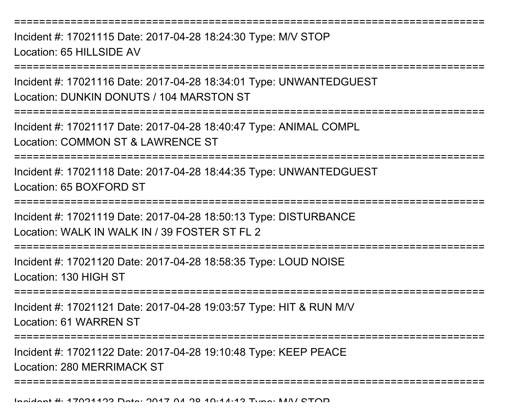===========================================================================

Incident #: 17021115 Date: 2017-04-28 18:24:30 Type: M/V STOPLocation: 65 HILLSIDE AV

===========================================================================

Incident #: 17021116 Date: 2017-04-28 18:34:01 Type: UNWANTEDGUESTLocation: DUNKIN DONUTS / 104 MARSTON ST

===========================================================================

Incident #: 17021117 Date: 2017-04-28 18:40:47 Type: ANIMAL COMPLLocation: COMMON ST & LAWRENCE ST

===========================================================================

Incident #: 17021118 Date: 2017-04-28 18:44:35 Type: UNWANTEDGUESTLocation: 65 BOXFORD ST

============================

Incident #: 17021119 Date: 2017-04-28 18:50:13 Type: DISTURBANCELocation: WALK IN WALK IN / 39 FOSTER ST FL 2

===========================================================================

Incident #: 17021120 Date: 2017-04-28 18:58:35 Type: LOUD NOISELocation: 130 HIGH ST

===========================================================================

Incident #: 17021121 Date: 2017-04-28 19:03:57 Type: HIT & RUN M/VLocation: 61 WARREN ST

===========================================================================

Incident #: 17021122 Date: 2017-04-28 19:10:48 Type: KEEP PEACELocation: 280 MERRIMACK ST

===========================================================================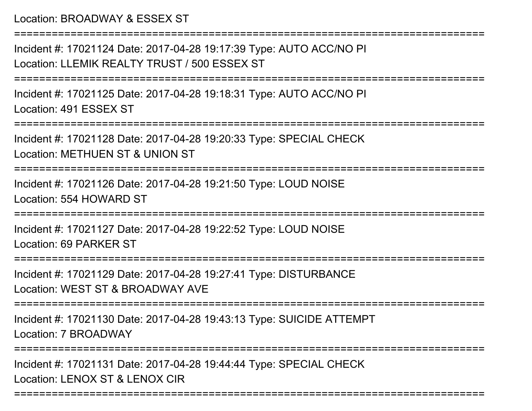#### Location: BROADWAY & ESSEX ST

===========================================================================

Incident #: 17021124 Date: 2017-04-28 19:17:39 Type: AUTO ACC/NO PILocation: LLEMIK REALTY TRUST / 500 ESSEX ST

===========================================================================

Incident #: 17021125 Date: 2017-04-28 19:18:31 Type: AUTO ACC/NO PILocation: 491 ESSEX ST

===========================================================================

Incident #: 17021128 Date: 2017-04-28 19:20:33 Type: SPECIAL CHECKLocation: METHUEN ST & UNION ST

===========================================================================

Incident #: 17021126 Date: 2017-04-28 19:21:50 Type: LOUD NOISELocation: 554 HOWARD ST

===========================================================================

Incident #: 17021127 Date: 2017-04-28 19:22:52 Type: LOUD NOISELocation: 69 PARKER ST

======================

Incident #: 17021129 Date: 2017-04-28 19:27:41 Type: DISTURBANCELocation: WEST ST & BROADWAY AVE

===========================================================================

Incident #: 17021130 Date: 2017-04-28 19:43:13 Type: SUICIDE ATTEMPTLocation: 7 BROADWAY

===========================================================================

===========================================================================

Incident #: 17021131 Date: 2017-04-28 19:44:44 Type: SPECIAL CHECKLocation: LENOX ST & LENOX CIR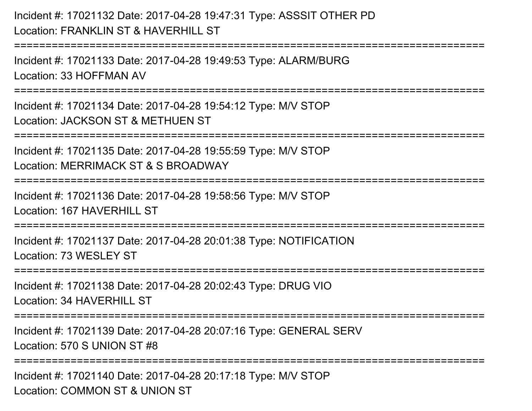## Incident #: 17021132 Date: 2017-04-28 19:47:31 Type: ASSSIT OTHER PDLocation: FRANKLIN ST & HAVERHILL ST

===========================================================================

Incident #: 17021133 Date: 2017-04-28 19:49:53 Type: ALARM/BURGLocation: 33 HOFFMAN AV

===========================================================================

Incident #: 17021134 Date: 2017-04-28 19:54:12 Type: M/V STOPLocation: JACKSON ST & METHUEN ST

===========================================================================

Incident #: 17021135 Date: 2017-04-28 19:55:59 Type: M/V STOP

Location: MERRIMACK ST & S BROADWAY

=============================

Incident #: 17021136 Date: 2017-04-28 19:58:56 Type: M/V STOP

Location: 167 HAVERHILL ST

===========================================================================

Incident #: 17021137 Date: 2017-04-28 20:01:38 Type: NOTIFICATIONLocation: 73 WESLEY ST

===========================================================================

Incident #: 17021138 Date: 2017-04-28 20:02:43 Type: DRUG VIOLocation: 34 HAVERHILL ST

===========================================================================

Incident #: 17021139 Date: 2017-04-28 20:07:16 Type: GENERAL SERVLocation: 570 S UNION ST #8

===========================================================================

Incident #: 17021140 Date: 2017-04-28 20:17:18 Type: M/V STOPLocation: COMMON ST & UNION ST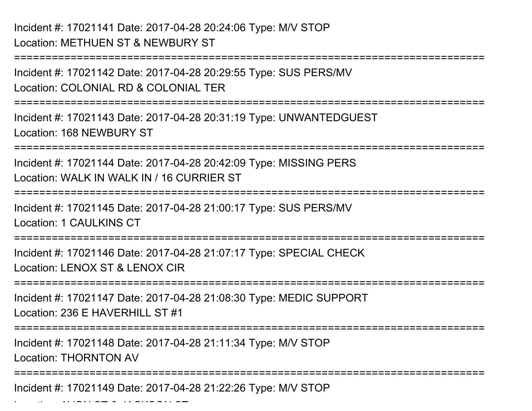===========================================================================Incident #: 17021142 Date: 2017-04-28 20:29:55 Type: SUS PERS/MVLocation: COLONIAL RD & COLONIAL TER===========================================================================Incident #: 17021143 Date: 2017-04-28 20:31:19 Type: UNWANTEDGUESTLocation: 168 NEWBURY ST===========================================================================Incident #: 17021144 Date: 2017-04-28 20:42:09 Type: MISSING PERSLocation: WALK IN WALK IN / 16 CURRIER ST===========================================================================Incident #: 17021145 Date: 2017-04-28 21:00:17 Type: SUS PERS/MVLocation: 1 CAULKINS CT===========================================================================Incident #: 17021146 Date: 2017-04-28 21:07:17 Type: SPECIAL CHECKLocation: LENOX ST & LENOX CIR ===========================================================================Incident #: 17021147 Date: 2017-04-28 21:08:30 Type: MEDIC SUPPORTLocation: 236 F HAVERHILL ST #1 ===========================================================================Incident #: 17021148 Date: 2017-04-28 21:11:34 Type: M/V STOPLocation: THORNTON AV===========================================================================

Incident #: 17021149 Date: 2017-04-28 21:22:26 Type: M/V STOP

 $\mathcal{L}$  and  $\mathcal{L}$  are  $\mathcal{L}$  and  $\mathcal{L}$  are  $\mathcal{L}$  and  $\mathcal{L}$  are  $\mathcal{L}$  and  $\mathcal{L}$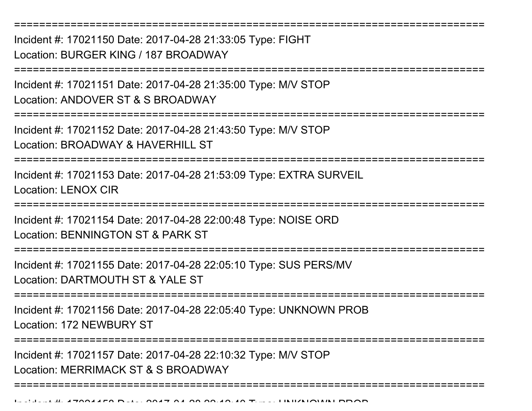===========================================================================Incident #: 17021150 Date: 2017-04-28 21:33:05 Type: FIGHTLocation: BURGER KING / 187 BROADWAY===========================================================================Incident #: 17021151 Date: 2017-04-28 21:35:00 Type: M/V STOPLocation: ANDOVER ST & S BROADWAY===========================================================================Incident #: 17021152 Date: 2017-04-28 21:43:50 Type: M/V STOPLocation: BROADWAY & HAVERHILL ST ===========================================================================Incident #: 17021153 Date: 2017-04-28 21:53:09 Type: EXTRA SURVEILLocation: LENOX CIR ===========================================================================Incident #: 17021154 Date: 2017-04-28 22:00:48 Type: NOISE ORDLocation: BENNINGTON ST & PARK ST===========================================================================Incident #: 17021155 Date: 2017-04-28 22:05:10 Type: SUS PERS/MVLocation: DARTMOUTH ST & YALE ST===========================================================================Incident #: 17021156 Date: 2017-04-28 22:05:40 Type: UNKNOWN PROBLocation: 172 NEWBURY ST===========================================================================Incident #: 17021157 Date: 2017-04-28 22:10:32 Type: M/V STOPLocation: MERRIMACK ST & S BROADWAY===========================================================================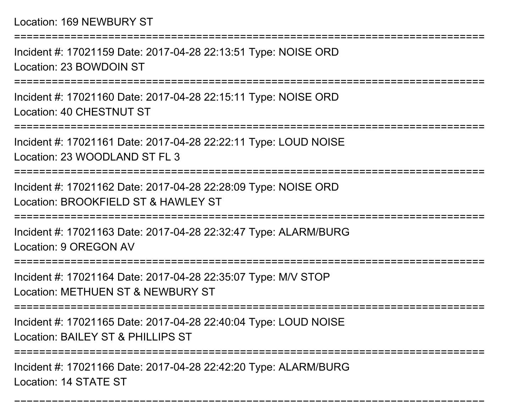===========================================================================Incident #: 17021159 Date: 2017-04-28 22:13:51 Type: NOISE ORDLocation: 23 BOWDOIN ST**===============** Incident #: 17021160 Date: 2017-04-28 22:15:11 Type: NOISE ORDLocation: 40 CHESTNUT ST===========================================================================Incident #: 17021161 Date: 2017-04-28 22:22:11 Type: LOUD NOISELocation: 23 WOODLAND ST FL 3===========================================================================Incident #: 17021162 Date: 2017-04-28 22:28:09 Type: NOISE ORDLocation: BROOKFIFLD ST & HAWLEY ST ===========================================================================Incident #: 17021163 Date: 2017-04-28 22:32:47 Type: ALARM/BURGLocation: 9 OREGON AV============================= Incident #: 17021164 Date: 2017-04-28 22:35:07 Type: M/V STOPLocation: METHUEN ST & NEWBURY ST===========================================================================Incident #: 17021165 Date: 2017-04-28 22:40:04 Type: LOUD NOISELocation: BAILEY ST & PHILLIPS ST====================== Incident #: 17021166 Date: 2017-04-28 22:42:20 Type: ALARM/BURGLocation: 14 STATE ST

===========================================================================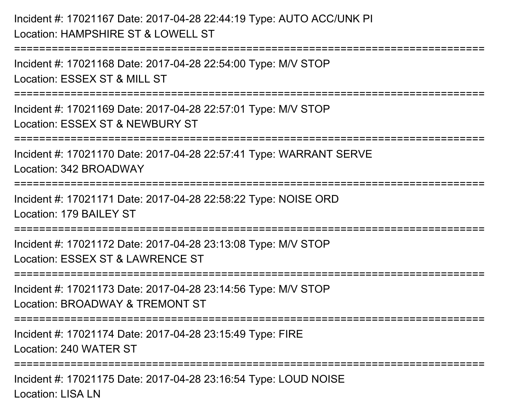# Incident #: 17021167 Date: 2017-04-28 22:44:19 Type: AUTO ACC/UNK PILocation: HAMPSHIRE ST & LOWFLL ST

Incident #: 17021168 Date: 2017-04-28 22:54:00 Type: M/V STOPLocation: ESSEX ST & MILL ST

===========================================================================

===========================================================================

Incident #: 17021169 Date: 2017-04-28 22:57:01 Type: M/V STOPLocation: ESSEX ST & NEWBURY ST

===========================================================================

Incident #: 17021170 Date: 2017-04-28 22:57:41 Type: WARRANT SERVELocation: 342 BROADWAY

===========================================================================

Incident #: 17021171 Date: 2017-04-28 22:58:22 Type: NOISE ORDLocation: 179 BAILEY ST

===========================================================================

Incident #: 17021172 Date: 2017-04-28 23:13:08 Type: M/V STOP

Location: ESSEX ST & LAWRENCE ST

===========================================================================

Incident #: 17021173 Date: 2017-04-28 23:14:56 Type: M/V STOP

Location: BROADWAY & TREMONT ST

===========================================================================

Incident #: 17021174 Date: 2017-04-28 23:15:49 Type: FIRE

Location: 240 WATER ST

===========================================================================

Incident #: 17021175 Date: 2017-04-28 23:16:54 Type: LOUD NOISELocation: LISA LN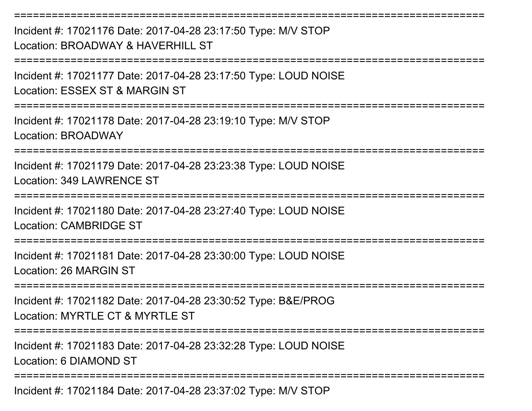Incident #: 17021176 Date: 2017-04-28 23:17:50 Type: M/V STOPLocation: BROADWAY & HAVERHILL ST ===========================================================================

Incident #: 17021177 Date: 2017-04-28 23:17:50 Type: LOUD NOISELocation: ESSEX ST & MARGIN ST

===========================================================================

===========================================================================

Incident #: 17021178 Date: 2017-04-28 23:19:10 Type: M/V STOPLocation: BROADWAY

===========================================================================

Incident #: 17021179 Date: 2017-04-28 23:23:38 Type: LOUD NOISELocation: 349 LAWRENCE ST

===========================================================================

Incident #: 17021180 Date: 2017-04-28 23:27:40 Type: LOUD NOISELocation: CAMBRIDGE ST

===========================================================================

Incident #: 17021181 Date: 2017-04-28 23:30:00 Type: LOUD NOISELocation: 26 MARGIN ST

===========================================================================

Incident #: 17021182 Date: 2017-04-28 23:30:52 Type: B&E/PROGLocation: MYRTLE CT & MYRTLE ST

===========================================================================

Incident #: 17021183 Date: 2017-04-28 23:32:28 Type: LOUD NOISELocation: 6 DIAMOND ST

===========================================================================

Incident #: 17021184 Date: 2017-04-28 23:37:02 Type: M/V STOP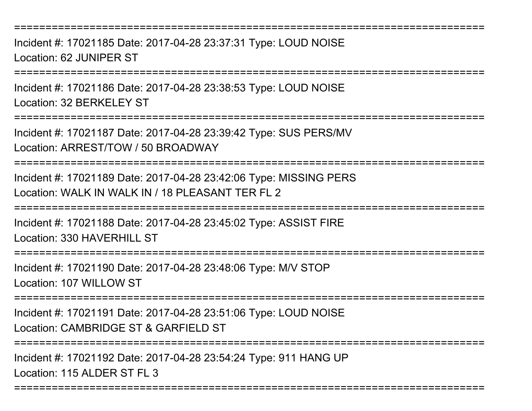===========================================================================

Incident #: 17021185 Date: 2017-04-28 23:37:31 Type: LOUD NOISELocation: 62 JUNIPER ST

===========================================================================

Incident #: 17021186 Date: 2017-04-28 23:38:53 Type: LOUD NOISELocation: 32 BERKELEY ST

===========================================================================

Incident #: 17021187 Date: 2017-04-28 23:39:42 Type: SUS PERS/MVLocation: ARREST/TOW / 50 BROADWAY

===========================================================================

Incident #: 17021189 Date: 2017-04-28 23:42:06 Type: MISSING PERSLocation: WALK IN WALK IN / 18 PLEASANT TER FL 2

===========================================================================

Incident #: 17021188 Date: 2017-04-28 23:45:02 Type: ASSIST FIRE

Location: 330 HAVERHILL ST

===========================================================================

Incident #: 17021190 Date: 2017-04-28 23:48:06 Type: M/V STOP

Location: 107 WILLOW ST

===========================================================================

Incident #: 17021191 Date: 2017-04-28 23:51:06 Type: LOUD NOISE

Location: CAMBRIDGE ST & GARFIELD ST

===========================================================================

===========================================================================

Incident #: 17021192 Date: 2017-04-28 23:54:24 Type: 911 HANG UPLocation: 115 ALDER ST FL 3